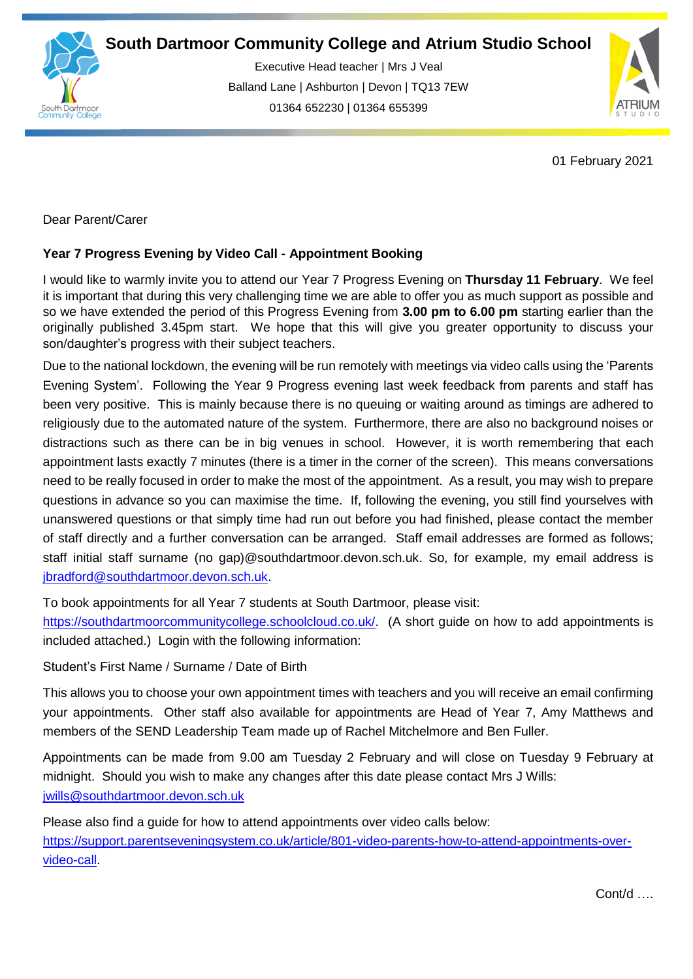

Executive Head teacher | Mrs J Veal Balland Lane | Ashburton | Devon | TQ13 7EW 01364 652230 | 01364 655399

ww.south.co.uk | [www.atrium-studio.co.uk](http://www.atrium-studio.co.uk/) | www.atrium-studio.co.uk



01 February 2021

Dear Parent/Carer

## **Year 7 Progress Evening by Video Call - Appointment Booking**

I would like to warmly invite you to attend our Year 7 Progress Evening on **Thursday 11 February**. We feel it is important that during this very challenging time we are able to offer you as much support as possible and so we have extended the period of this Progress Evening from **3.00 pm to 6.00 pm** starting earlier than the originally published 3.45pm start. We hope that this will give you greater opportunity to discuss your son/daughter's progress with their subject teachers.

Due to the national lockdown, the evening will be run remotely with meetings via video calls using the 'Parents Evening System'. Following the Year 9 Progress evening last week feedback from parents and staff has been very positive. This is mainly because there is no queuing or waiting around as timings are adhered to religiously due to the automated nature of the system. Furthermore, there are also no background noises or distractions such as there can be in big venues in school. However, it is worth remembering that each appointment lasts exactly 7 minutes (there is a timer in the corner of the screen). This means conversations need to be really focused in order to make the most of the appointment. As a result, you may wish to prepare questions in advance so you can maximise the time. If, following the evening, you still find yourselves with unanswered questions or that simply time had run out before you had finished, please contact the member of staff directly and a further conversation can be arranged. Staff email addresses are formed as follows; staff initial staff surname (no gap)@southdartmoor.devon.sch.uk. So, for example, my email address is [jbradford@southdartmoor.devon.sch.uk.](mailto:jbradford@southdartmoor.devon.sch.uk)

To book appointments for all Year 7 students at South Dartmoor, please visit:

[https://southdartmoorcommunitycollege.schoolcloud.co.uk/.](https://southdartmoorcommunitycollege.schoolcloud.co.uk/) (A short guide on how to add appointments is included attached.) Login with the following information:

Student's First Name / Surname / Date of Birth

This allows you to choose your own appointment times with teachers and you will receive an email confirming your appointments. Other staff also available for appointments are Head of Year 7, Amy Matthews and members of the SEND Leadership Team made up of Rachel Mitchelmore and Ben Fuller.

Appointments can be made from 9.00 am Tuesday 2 February and will close on Tuesday 9 February at midnight. Should you wish to make any changes after this date please contact Mrs J Wills: [jwills@southdartmoor.devon.sch.uk](mailto:jwills@southdartmoor.devon.sch.uk)

Please also find a guide for how to attend appointments over video calls below: [https://support.parentseveningsystem.co.uk/article/801-video-parents-how-to-attend-appointments-over](https://support.parentseveningsystem.co.uk/article/801-video-parents-how-to-attend-appointments-over-video-call)[video-call.](https://support.parentseveningsystem.co.uk/article/801-video-parents-how-to-attend-appointments-over-video-call)